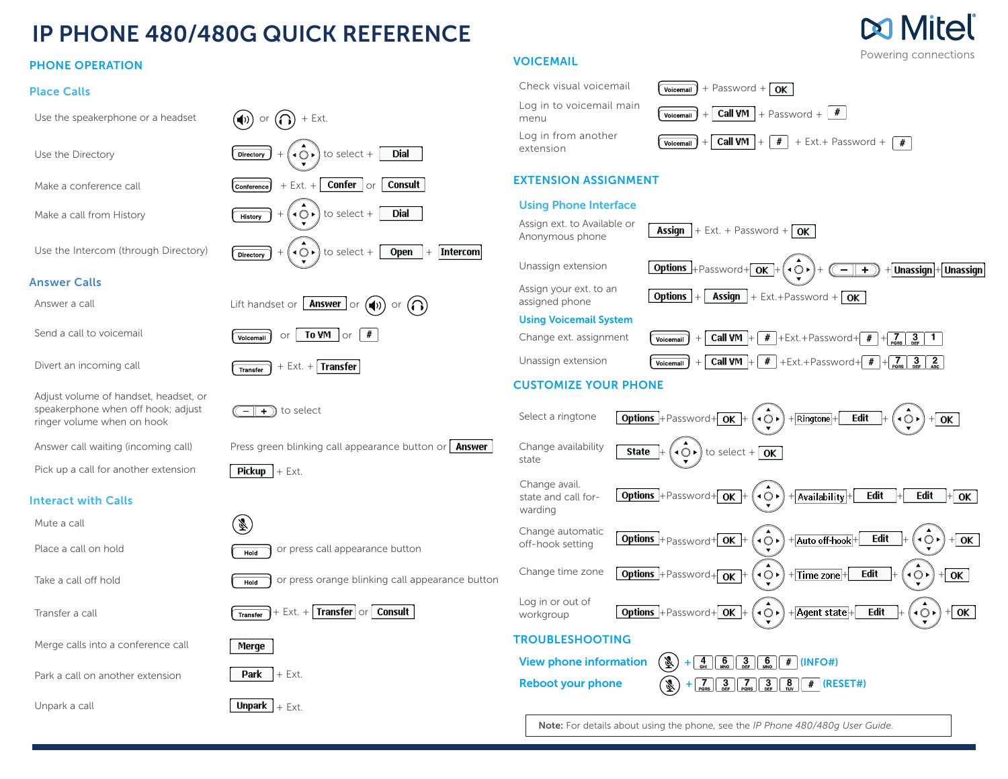## IP PHONE 480/480G QUICK REFERENCE

#### PHONE OPERATION

#### Place Calls

Log in to voicemail main Use the speakerphone or a headset  $(\bigcirc \phi)$  or  $(\bigcap)$  + Ext. Log in from another Use the Directory  $\overline{Direct} + (\overline{Q})$  to select + **Dial** EXTENSION ASSIGNMENT Make a conference call  $\begin{array}{c} \hline \text{Confference} \end{array}$  + Ext. +  $\begin{array}{c} \hline \text{Confference} \end{array}$  \ or **Consult** Using Phone Interface Make a call from History  $\sqrt{\frac{H}{\text{History}}} + (\text{O} \cdot)$  to select + **Dial** Assign ext. to Available or Assign ext. to Available of  $\sqrt{4\text{ssign}} + \text{Ext.} + \text{Password} + \boxed{\text{OK}}$ Use the Intercom (through Directory)  $\sqrt{\frac{D}{\text{Directory}}} + (\overrightarrow{Q} \cdot)$  to select +  $\sqrt{O}$ [Intercom] Answer Calls Assign your ext. to an Answer a call  $\qquad \qquad$  Lift handset or  $\qquad \qquad$  Answer  $\qquad \qquad$  or  $\qquad \qquad$  or  $\qquad \qquad$  $\left( \bigcap \right)$ Using Voicemail System Send a call to voicemail  $\sqrt{\frac{1}{\text{Voleemail}}}$  or  $\sqrt{\frac{1}{\text{VOM}}}$  or  $\#$ Unassign extension  $\sqrt{\frac{V_{\text{oicemail}}}{V_{\text{oicemail}}}} + \sqrt{\frac{C}{V_{\text{O}}}} + \frac{H}{V_{\text{r}}}} + \frac{H}{V_{\text{r}} + \sqrt{2}} + \frac{H}{V_{\text{r}} + \sqrt{2}} + \frac{H}{V_{\text{r}} + \sqrt{2}} + \frac{H}{V_{\text{r}} + \sqrt{2}}$ Divert an incoming call  $\sqrt{\frac{1}{\text{Transfer}}}$  + Ext. + Transfer CUSTOMIZE YOUR PHONE Adjust volume of handset, headset, or speakerphone when off hook; adjust  $(\overline{\phantom{a}}\overline{\phantom{a}}\overline{\phantom{a}}\hspace{0.1cm}+\hspace{0.1cm})$  to select ringer volume when on hook Answer call waiting (incoming call) Press green blinking call appearance button or  $\int$  Answer Change availability  $\bullet$   $\bullet$  to select +  $\sqrt{0K}$ **State** state Pick up a call for another extension  $\sqrt{\text{Pickup}} + \text{Ext.}$ Change avail. state and call for-Interact with Calls warding  $(\bar{\mathbb{Z}})$ Mute a call Change automatic Place a call on hold  $\sqrt{\frac{H_{\text{old}}}{H_{\text{old}}}}$  or press call appearance button Take a call off hold  $\sqrt{H_{\text{old}}}$  or press orange blinking call appearance button Log in or out of Transfer a call  $\sqrt{1}$   $\sqrt{1}$   $\sqrt{1}$   $\sqrt{1}$   $\sqrt{1}$   $\sqrt{1}$   $\sqrt{1}$   $\sqrt{1}$   $\sqrt{1}$   $\sqrt{1}$   $\sqrt{1}$   $\sqrt{1}$   $\sqrt{1}$   $\sqrt{1}$   $\sqrt{1}$   $\sqrt{1}$   $\sqrt{1}$   $\sqrt{1}$   $\sqrt{1}$   $\sqrt{1}$   $\sqrt{1}$   $\sqrt{1}$   $\sqrt{1}$   $\sqrt{1}$   $\sqrt{1}$   $\sqrt{1$ TROUBLESHOOTING Merge calls into a conference call Merge Park a call on another extension  $\|\mathsf{Park}\|$  + Ext.

Unpark a call  $\begin{bmatrix} \textbf{Unpark} \end{bmatrix} + \text{Ext}$ 

#### VOICEMAIL



Unassign extension  $\boxed{\text{Options}} + \text{Password} + \boxed{\text{OK}} + (\overline{\text{O}} \cdot) + (\overline{\text{O}} \cdot) + \boxed{\text{I}$  Unassign + Unassign  $\frac{1}{\text{A}\cdot\text{A}\cdot\text{B}}$  assigned phone  $\frac{1}{\text{B}\cdot\text{B}\cdot\text{B}}$  +  $\frac{1}{\text{A}\cdot\text{B}\cdot\text{B}}$  + Ext.+Password +  $\frac{1}{\text{B}\cdot\text{B}}$ Change ext. assignment  $\sqrt{\frac{1}{\text{Volicomial}}} + \sqrt{\frac{1}{\text{Call VM}}} + \sqrt{\frac{4}{\text{HL}}} + \text{Ext} + \text{Password} + \sqrt{\frac{4}{\text{Poisson}}} + \sqrt{\frac{3}{\text{Per}}} + \sqrt{\frac{1}{\text{Per}}}$ 



Note: For details about using the phone, see the *IP Phone 480/480g User Guide*.

# Powering connections